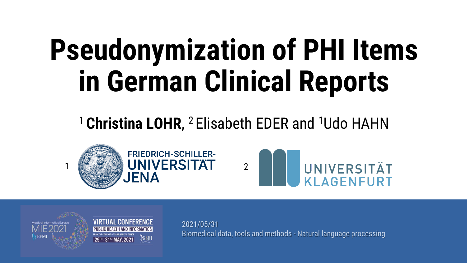# **Pseudonymization of PHI Items in German Clinical Reports**

#### <sup>1</sup> Christina LOHR, <sup>2</sup> Elisabeth EDER and <sup>1</sup>Udo HAHN







**VIRTUAL CONFERENCE** PUBLIC HEALTH AND INFORMATICS

2021/05/31 Biomedical data, tools and methods - Natural language processing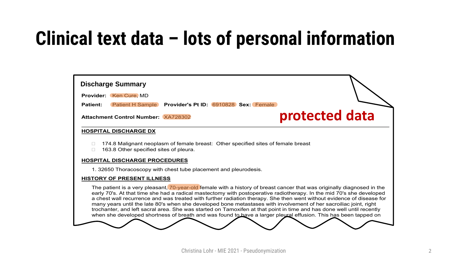#### **Clinical text data – lots of personal information**

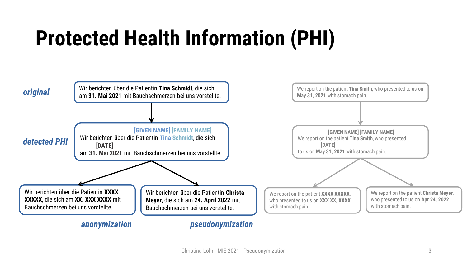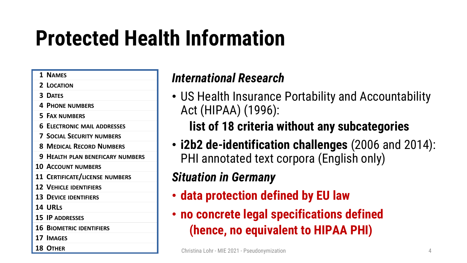#### **1 NAMES**

- **2 LOCATION**
- **3 DATES**
- **4 PHONE NUMBERS**
- **5 FAX NUMBERS**
- **6 ELECTRONIC MAIL ADDRESSES**
- **7 SOCIAL SECURITY NUMBERS**
- **8 MEDICAL RECORD NUMBERS**
- **9 HEALTH PLAN BENEFICARY NUMBERS**
- **10 ACCOUNT NUMBERS**
- **11 CERTIFICATE/LICENSE NUMBERS**
- **12 VEHICLE IDENTIFIERS**
- **13 DEVICE IDENTIFIERS**
- **14 URLS**
- **15 IP ADDRESSES**
- **16 BIOMETRIC IDENTIFIERS**
- **17 IMAGES**
- 

#### *International Research*

• US Health Insurance Portability and Accountability Act (HIPAA) (1996):

#### **list of 18 criteria without any subcategories**

• **i2b2 de-identification challenges** (2006 and 2014): PHI annotated text corpora (English only)

#### *Situation in Germany*

- **data protection defined by EU law**
- **no concrete legal specifications defined (hence, no equivalent to HIPAA PHI)**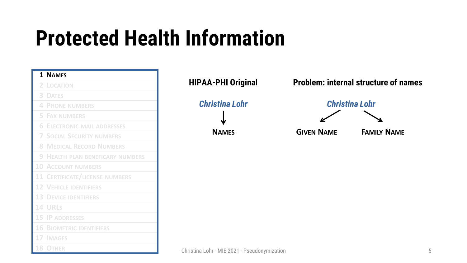|         | 1 NAMES                               |
|---------|---------------------------------------|
| 2       | LOCATION                              |
| 3       | <b>DATES</b>                          |
| 4       | <b>PHONE NUMBERS</b>                  |
| 5       | <b>FAX NUMBERS</b>                    |
| 6       | <b>ELECTRONIC MAIL ADDRESSES</b>      |
| 7       | <b>SOCIAL SECURITY NUMBERS</b>        |
| 8       | <b>MEDICAL RECORD NUMBERS</b>         |
| 9       | <b>HEALTH PLAN BENEFICARY NUMBERS</b> |
| $10 \,$ | <b>ACCOUNT NUMBERS</b>                |
| $11\,$  | <b>CERTIFICATE/LICENSE NUMBERS</b>    |
| 12      | <b>VEHICLE IDENTIFIERS</b>            |
| 13      | <b>DEVICE IDENTIFIERS</b>             |
|         | <b>14 URLS</b>                        |
|         | <b>15 IP ADDRESSES</b>                |
| 16      | <b>BIOMETRIC IDENTIFIERS</b>          |
| 17      | <b>IMAGES</b>                         |
| 18      | <b>OTHER</b>                          |

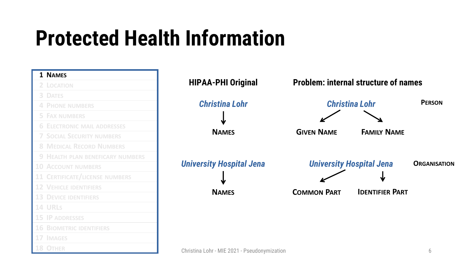| 1 NAMES                                 |                                              |                    |                                             |                     |
|-----------------------------------------|----------------------------------------------|--------------------|---------------------------------------------|---------------------|
| 2 LOCATION                              | <b>HIPAA-PHI Original</b>                    |                    | <b>Problem: internal structure of names</b> |                     |
| <b>3 DATES</b>                          |                                              |                    |                                             |                     |
| <b>4 PHONE NUMBERS</b>                  | <b>Christina Lohr</b>                        |                    | <b>Christina Lohr</b>                       | <b>PERSON</b>       |
| <b>5 FAX NUMBERS</b>                    |                                              |                    |                                             |                     |
| <b>6 ELECTRONIC MAIL ADDRESSES</b>      |                                              |                    |                                             |                     |
| <b>7 SOCIAL SECURITY NUMBERS</b>        | <b>NAMES</b>                                 | <b>GIVEN NAME</b>  | <b>FAMILY NAME</b>                          |                     |
| <b>8 MEDICAL RECORD NUMBERS</b>         |                                              |                    |                                             |                     |
| <b>9 HEALTH PLAN BENEFICARY NUMBERS</b> |                                              |                    |                                             |                     |
| <b>10 ACCOUNT NUMBERS</b>               | <b>University Hospital Jena</b>              |                    | <b>University Hospital Jena</b>             | <b>ORGANISATION</b> |
| <b>11 CERTIFICATE/LICENSE NUMBERS</b>   |                                              |                    | Ψ                                           |                     |
| <b>12 VEHICLE IDENTIFIERS</b>           | <b>NAMES</b>                                 | <b>COMMON PART</b> | <b>IDENTIFIER PART</b>                      |                     |
| <b>13 DEVICE IDENTIFIERS</b>            |                                              |                    |                                             |                     |
| 14 URLS                                 |                                              |                    |                                             |                     |
| <b>15 IP ADDRESSES</b>                  |                                              |                    |                                             |                     |
| <b>16 BIOMETRIC IDENTIFIERS</b>         |                                              |                    |                                             |                     |
| 17 IMAGES                               |                                              |                    |                                             |                     |
| <b>18 OTHER</b>                         | Christina Lohr - MIE 2021 - Pseudonymization |                    |                                             | 6                   |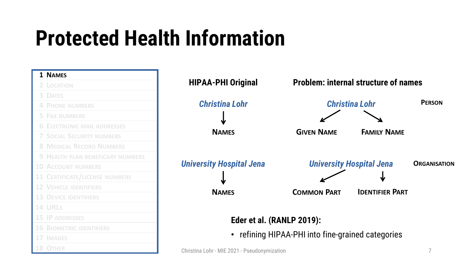| 1 NAMES                                 |                                              |                                                 |                                             |              |
|-----------------------------------------|----------------------------------------------|-------------------------------------------------|---------------------------------------------|--------------|
| 2 LOCATION                              | <b>HIPAA-PHI Original</b>                    |                                                 | <b>Problem: internal structure of names</b> |              |
| <b>3 DATES</b>                          |                                              |                                                 |                                             |              |
| <b>4 PHONE NUMBERS</b>                  | <b>Christina Lohr</b>                        |                                                 | <b>Christina Lohr</b>                       | PER          |
| <b>5 FAX NUMBERS</b>                    |                                              |                                                 |                                             |              |
| <b>6 ELECTRONIC MAIL ADDRESSES</b>      |                                              |                                                 |                                             |              |
| <b>7 SOCIAL SECURITY NUMBERS</b>        | <b>NAMES</b>                                 | <b>GIVEN NAME</b>                               | <b>FAMILY NAME</b>                          |              |
| <b>8 MEDICAL RECORD NUMBERS</b>         |                                              |                                                 |                                             |              |
| <b>9 HEALTH PLAN BENEFICARY NUMBERS</b> |                                              |                                                 |                                             |              |
| <b>10 ACCOUNT NUMBERS</b>               | <b>University Hospital Jena</b>              |                                                 | <b>University Hospital Jena</b>             | <b>ORGAI</b> |
| <b>11 CERTIFICATE/LICENSE NUMBERS</b>   |                                              |                                                 |                                             |              |
| <b>12 VEHICLE IDENTIFIERS</b>           | <b>NAMES</b>                                 | <b>COMMON PART</b>                              | <b>IDENTIFIER PART</b>                      |              |
| <b>13 DEVICE IDENTIFIERS</b>            |                                              |                                                 |                                             |              |
| 14 URLS                                 |                                              |                                                 |                                             |              |
| <b>15 IP ADDRESSES</b>                  | Eder et al. (RANLP 2019):                    |                                                 |                                             |              |
| <b>16 BIOMETRIC IDENTIFIERS</b>         |                                              |                                                 |                                             |              |
| <b>17 IMAGES</b>                        | $\bullet$                                    | refining HIPAA-PHI into fine-grained categories |                                             |              |
| <b>OTHER</b>                            | Christina Lohr - MIE 2021 - Pseudonymization |                                                 |                                             |              |

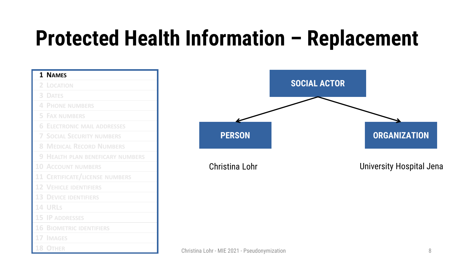| 1 NAMES                                 |                                              |                     |                                 |
|-----------------------------------------|----------------------------------------------|---------------------|---------------------------------|
| 2 LOCATION                              |                                              | <b>SOCIAL ACTOR</b> |                                 |
| <b>3 DATES</b>                          |                                              |                     |                                 |
| <b>4 PHONE NUMBERS</b>                  |                                              |                     |                                 |
| <b>5 FAX NUMBERS</b>                    |                                              |                     |                                 |
| <b>6 ELECTRONIC MAIL ADDRESSES</b>      |                                              |                     |                                 |
| <b>7 SOCIAL SECURITY NUMBERS</b>        | <b>PERSON</b>                                |                     | <b>ORGANIZATION</b>             |
| <b>8 MEDICAL RECORD NUMBERS</b>         |                                              |                     |                                 |
| <b>9 HEALTH PLAN BENEFICARY NUMBERS</b> |                                              |                     |                                 |
| <b>10 ACCOUNT NUMBERS</b>               | Christina Lohr                               |                     | <b>University Hospital Jena</b> |
| <b>11 CERTIFICATE/LICENSE NUMBERS</b>   |                                              |                     |                                 |
| <b>12 VEHICLE IDENTIFIERS</b>           |                                              |                     |                                 |
| <b>13 DEVICE IDENTIFIERS</b>            |                                              |                     |                                 |
| <b>14 URLS</b>                          |                                              |                     |                                 |
| <b>15 IP ADDRESSES</b>                  |                                              |                     |                                 |
| <b>16 BIOMETRIC IDENTIFIERS</b>         |                                              |                     |                                 |
| 17 IMAGES                               |                                              |                     |                                 |
| <b>18 OTHER</b>                         | Christina Lohr - MIE 2021 - Pseudonymization |                     | 8                               |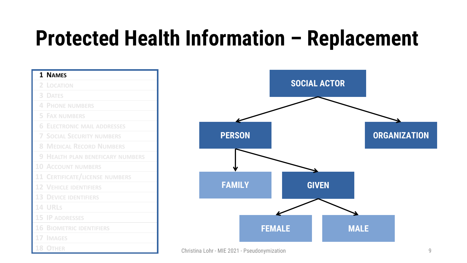| 1 NAMES                               |                                              |                     |             |                     |
|---------------------------------------|----------------------------------------------|---------------------|-------------|---------------------|
| 2 LOCATION                            |                                              | <b>SOCIAL ACTOR</b> |             |                     |
| <b>3 DATES</b>                        |                                              |                     |             |                     |
| <b>4 PHONE NUMBERS</b>                |                                              |                     |             |                     |
| <b>5 FAX NUMBERS</b>                  |                                              |                     |             |                     |
| <b>6 ELECTRONIC MAIL ADDRESSES</b>    |                                              |                     |             |                     |
| <b>7 SOCIAL SECURITY NUMBERS</b>      | <b>PERSON</b>                                |                     |             | <b>ORGANIZATION</b> |
| <b>8 MEDICAL RECORD NUMBERS</b>       |                                              |                     |             |                     |
| 9 HEALTH PLAN BENEFICARY NUMBERS      |                                              |                     |             |                     |
| <b>10 ACCOUNT NUMBERS</b>             |                                              |                     |             |                     |
| <b>11 CERTIFICATE/LICENSE NUMBERS</b> |                                              |                     |             |                     |
| <b>12 VEHICLE IDENTIFIERS</b>         | <b>FAMILY</b>                                | <b>GIVEN</b>        |             |                     |
| <b>13 DEVICE IDENTIFIERS</b>          |                                              |                     |             |                     |
| <b>14 URLS</b>                        |                                              |                     |             |                     |
| <b>15 IP ADDRESSES</b>                |                                              |                     |             |                     |
| <b>16 BIOMETRIC IDENTIFIERS</b>       | <b>FEMALE</b>                                |                     | <b>MALE</b> |                     |
| 17 IMAGES                             |                                              |                     |             |                     |
| <b>18 OTHER</b>                       | Christina Lohr - MIE 2021 - Pseudonymization |                     |             | 9                   |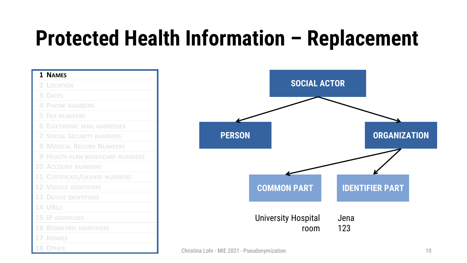| 1 NAMES                               |                                              |                            |      |                        |    |
|---------------------------------------|----------------------------------------------|----------------------------|------|------------------------|----|
| 2 LOCATION                            |                                              | <b>SOCIAL ACTOR</b>        |      |                        |    |
| <b>3 DATES</b>                        |                                              |                            |      |                        |    |
| <b>4 PHONE NUMBERS</b>                |                                              |                            |      |                        |    |
| <b>5 FAX NUMBERS</b>                  |                                              |                            |      |                        |    |
| <b>6 ELECTRONIC MAIL ADDRESSES</b>    |                                              |                            |      |                        |    |
| <b>7 SOCIAL SECURITY NUMBERS</b>      | <b>PERSON</b>                                |                            |      | <b>ORGANIZATION</b>    |    |
| <b>8 MEDICAL RECORD NUMBERS</b>       |                                              |                            |      |                        |    |
| 9 HEALTH PLAN BENEFICARY NUMBERS      |                                              |                            |      |                        |    |
| <b>10 ACCOUNT NUMBERS</b>             |                                              |                            |      |                        |    |
| <b>11 CERTIFICATE/LICENSE NUMBERS</b> |                                              |                            |      |                        |    |
| <b>12 VEHICLE IDENTIFIERS</b>         |                                              | <b>COMMON PART</b>         |      | <b>IDENTIFIER PART</b> |    |
| <b>13 DEVICE IDENTIFIERS</b>          |                                              |                            |      |                        |    |
| <b>14 URLS</b>                        |                                              |                            |      |                        |    |
| <b>15 IP ADDRESSES</b>                |                                              | <b>University Hospital</b> | Jena |                        |    |
| <b>16 BIOMETRIC IDENTIFIERS</b>       |                                              | room                       | 123  |                        |    |
| <b>17 IMAGES</b>                      |                                              |                            |      |                        |    |
| 18 OTHER                              | Christina Lohr - MIE 2021 - Pseudonymization |                            |      |                        | 10 |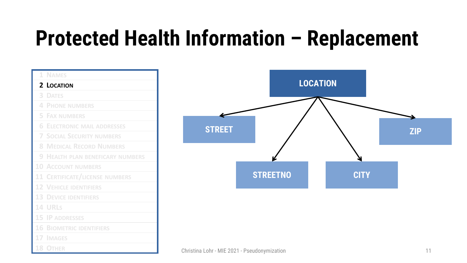|        | 1 NAMES                               |
|--------|---------------------------------------|
|        | 2 LOCATION                            |
| 3      | <b>DATES</b>                          |
| 4      | <b>PHONE NUMBERS</b>                  |
| 5      | <b>FAX NUMBERS</b>                    |
| 6      | <b>ELECTRONIC MAIL ADDRESSES</b>      |
| 7      | <b>SOCIAL SECURITY NUMBERS</b>        |
| 8      | <b>MEDICAL RECORD NUMBERS</b>         |
| 9      | <b>HEALTH PLAN BENEFICARY NUMBERS</b> |
| 10     | <b>ACCOUNT NUMBERS</b>                |
| $11\,$ | <b>CERTIFICATE/LICENSE NUMBERS</b>    |
| 12     | <b>VEHICLE IDENTIFIERS</b>            |
| 13     | <b>DEVICE IDENTIFIERS</b>             |
| 14     | URLS                                  |
| 15     | <b>IP ADDRESSES</b>                   |
| 16     | <b>BIOMETRIC IDENTIFIERS</b>          |
|        | <b>17 IMAGES</b>                      |
| 18     | <b>OTHER</b>                          |

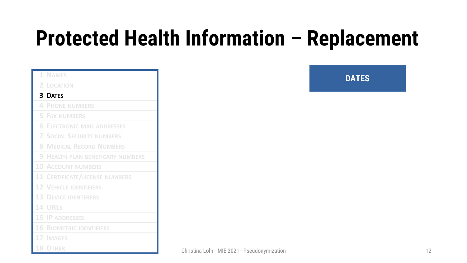|   | 1 NAMES                                 |
|---|-----------------------------------------|
|   | 2 LOCATION                              |
|   | <b>3 DATES</b>                          |
|   | <b>4 PHONE NUMBERS</b>                  |
|   | <b>5 FAX NUMBERS</b>                    |
| 6 | <b>ELECTRONIC MAIL ADDRESSES</b>        |
|   | <b>7 SOCIAL SECURITY NUMBERS</b>        |
| 8 | <b>MEDICAL RECORD NUMBERS</b>           |
|   | <b>9 HEALTH PLAN BENEFICARY NUMBERS</b> |
|   | <b>10 ACCOUNT NUMBERS</b>               |
|   | <b>11 CERTIFICATE/LICENSE NUMBERS</b>   |
|   | <b>12 VEHICLE IDENTIFIERS</b>           |
|   | <b>13 DEVICE IDENTIFIERS</b>            |
|   | <b>14 URLS</b>                          |
|   | <b>15 IP ADDRESSES</b>                  |
|   | <b>16 BIOMETRIC IDENTIFIERS</b>         |
|   | <b>17 IMAGES</b>                        |
|   | <b>18 OTHER</b>                         |

**DATES**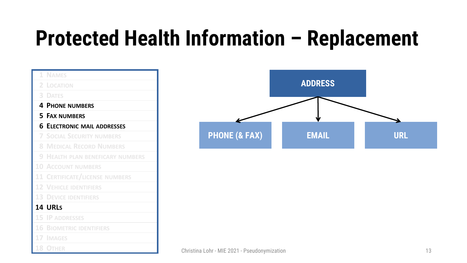|    | 1 NAMES                                 |
|----|-----------------------------------------|
| 2. | LOCATION                                |
| 3  | <b>DATES</b>                            |
|    | <b>4 PHONE NUMBERS</b>                  |
|    | <b>5 FAX NUMBERS</b>                    |
|    | <b>6 ELECTRONIC MAIL ADDRESSES</b>      |
| 7  | <b>SOCIAL SECURITY NUMBERS</b>          |
| 8  | <b>MEDICAL RECORD NUMBERS</b>           |
|    | <b>9 HEALTH PLAN BENEFICARY NUMBERS</b> |
|    | <b>10 ACCOUNT NUMBERS</b>               |
|    | 11 CERTIFICATE/LICENSE NUMBERS          |
|    | <b>12 VEHICLE IDENTIFIERS</b>           |
|    | <b>13 DEVICE IDENTIFIERS</b>            |
|    | <b>14 URLS</b>                          |
|    | <b>15 IP ADDRESSES</b>                  |
|    | <b>16 BIOMETRIC IDENTIFIERS</b>         |
|    | <b>17 IMAGES</b>                        |
| 18 | <b>OTHER</b>                            |

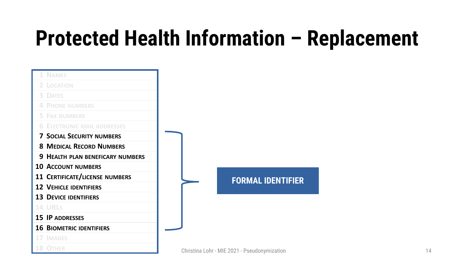| <b>NAMES</b>                          |
|---------------------------------------|
| 2 LOCATION                            |
| <b>3 DATES</b>                        |
| <b>4 PHONE NUMBERS</b>                |
| <b>5 FAX NUMBERS</b>                  |
| <b>6 ELECTRONIC MAIL ADDRESSES</b>    |
| <b>7 SOCIAL SECURITY NUMBERS</b>      |
| <b>8 MEDICAL RECORD NUMBERS</b>       |
| 9 HEALTH PLAN BENEFICARY NUMBERS      |
| <b>10 ACCOUNT NUMBERS</b>             |
| <b>11 CERTIFICATE/LICENSE NUMBERS</b> |
| <b>12 VEHICLE IDENTIFIERS</b>         |
| <b>13 DEVICE IDENTIFIERS</b>          |
| <b>14 URLS</b>                        |
| 15 IP ADDRESSES                       |
| <b>16 BIOMETRIC IDENTIFIERS</b>       |
| 17 IMAGES                             |
| <b>18 OTHER</b>                       |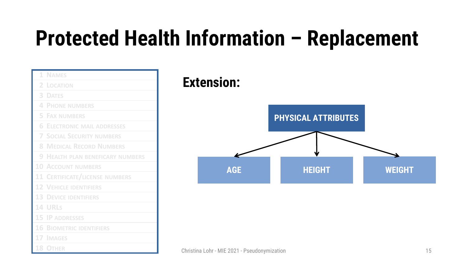|    | 1 NAMES                               |
|----|---------------------------------------|
| 2  | <b>LOCATION</b>                       |
| 3  | <b>DATES</b>                          |
| 4  | <b>PHONE NUMBERS</b>                  |
| 5  | <b>FAX NUMBERS</b>                    |
| 6  | <b>ELECTRONIC MAIL ADDRESSES</b>      |
| 7. | <b>SOCIAL SECURITY NUMBERS</b>        |
| 8  | <b>MEDICAL RECORD NUMBERS</b>         |
| 9  | <b>HEALTH PLAN BENEFICARY NUMBERS</b> |
| 10 | <b>ACCOUNT NUMBERS</b>                |
|    | <b>11 CERTIFICATE/LICENSE NUMBERS</b> |
|    | <b>12 VEHICLE IDENTIFIERS</b>         |
|    | <b>13 DEVICE IDENTIFIERS</b>          |
|    | <b>14 URLS</b>                        |
|    | <b>15 IP ADDRESSES</b>                |
| 16 | <b>BIOMETRIC IDENTIFIERS</b>          |
|    | 17 IMAGES                             |
|    | <b>18 OTHER</b>                       |

#### **Extension:**

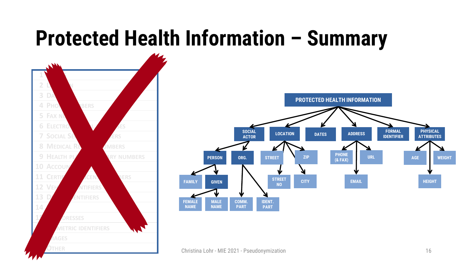#### **Protected Health Information – Summary**

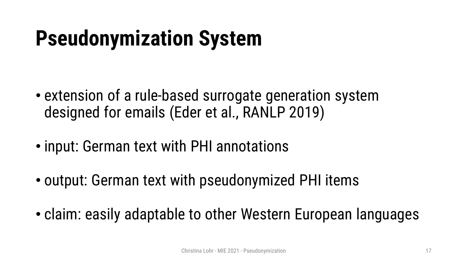### **Pseudonymization System**

- extension of a rule-based surrogate generation system designed for emails (Eder et al., RANLP 2019)
- input: German text with PHI annotations
- output: German text with pseudonymized PHI items
- claim: easily adaptable to other Western European languages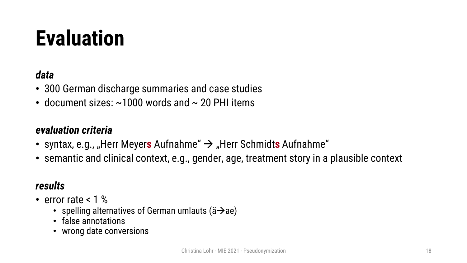### **Evaluation**

#### *data*

- 300 German discharge summaries and case studies
- document sizes:  $\sim$ 1000 words and  $\sim$  20 PHI items

#### *evaluation criteria*

- syntax, e.g., "Herr Meyers Aufnahme"  $\rightarrow$  "Herr Schmidts Aufnahme"
- semantic and clinical context, e.g., gender, age, treatment story in a plausible context

#### *results*

- error rate < 1 %
	- spelling alternatives of German umlauts ( $\ddot{a} \rightarrow a$ e)
	- false annotations
	- wrong date conversions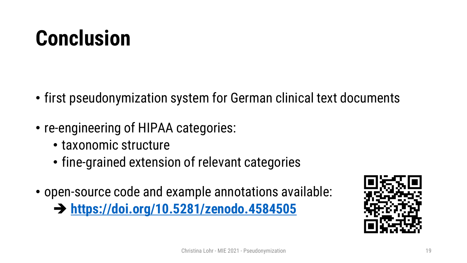### **Conclusion**

- first pseudonymization system for German clinical text documents
- re-engineering of HIPAA categories:
	- taxonomic structure
	- fine-grained extension of relevant categories
- open-source code and example annotations available:

➔ **<https://doi.org/10.5281/zenodo.4584505>**